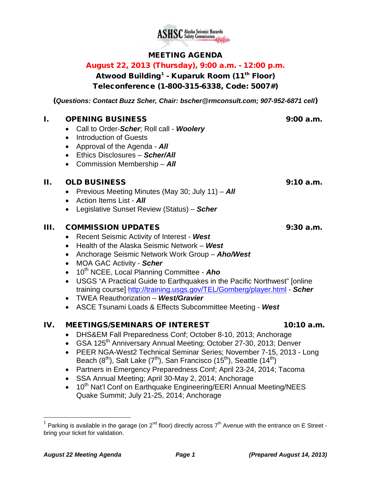

# MEETING AGENDA

## August 22, 2013 (Thursday), 9:00 a.m. - 12:00 p.m.

Atwood Building<sup>[1](#page-0-0)</sup> - Kuparuk Room (11<sup>th</sup> Floor) Teleconference (1-800-315-6338, Code: 5007#)

(*Questions: Contact Buzz Scher, Chair: [bscher@rmconsult.com;](mailto:bscher@rmconsult.com) 907-952-6871 cell*)

#### I. OPENING BUSINESS 9:00 a.m.

- Call to Order-*Scher*; Roll call *Woolery*
- Introduction of Guests
- Approval of the Agenda *All*
- Ethics Disclosures *Scher/All*
- Commission Membership *All*

#### II. OLD BUSINESS 9:10 a.m.

- Previous Meeting Minutes (May 30; July 11) *All*
- Action Items List *All*
- Legislative Sunset Review (Status) *Scher*

### III. COMMISSION UPDATES 9:30 a.m.

- Recent Seismic Activity of Interest *West*
- Health of the Alaska Seismic Network *West*
- Anchorage Seismic Network Work Group *Aho/West*
- MOA GAC Activity *Scher*
- 10<sup>th</sup> NCEE, Local Planning Committee **Aho**
- USGS "A Practical Guide to Earthquakes in the Pacific Northwest" [online training course]<http://training.usgs.gov/TEL/Gomberg/player.html> - *Scher*
- TWEA Reauthorization *West/Gravier*
- ASCE Tsunami Loads & Effects Subcommittee Meeting *West*

## IV. MEETINGS/SEMINARS OF INTEREST 10:10 a.m.

- DHS&EM Fall Preparedness Conf; October 8-10, 2013; Anchorage
- GSA 125<sup>th</sup> Anniversary Annual Meeting; October 27-30, 2013; Denver
- PEER NGA-West2 Technical Seminar Series; November 7-15, 2013 Long Beach  $(8^{th})$ , Salt Lake  $(7^{th})$ , San Francisco  $(15^{th})$ , Seattle  $(14^{th})$
- Partners in Emergency Preparedness Conf; April 23-24, 2014; Tacoma
- SSA Annual Meeting; April 30-May 2, 2014; Anchorage
- $\bullet$  10<sup>th</sup> Nat'l Conf on Earthquake Engineering/EERI Annual Meeting/NEES Quake Summit; July 21-25, 2014; Anchorage

<span id="page-0-0"></span><sup>&</sup>lt;sup>1</sup> Parking is available in the garage (on 2<sup>nd</sup> floor) directly across  $7<sup>th</sup>$  Avenue with the entrance on E Street bring your ticket for validation.